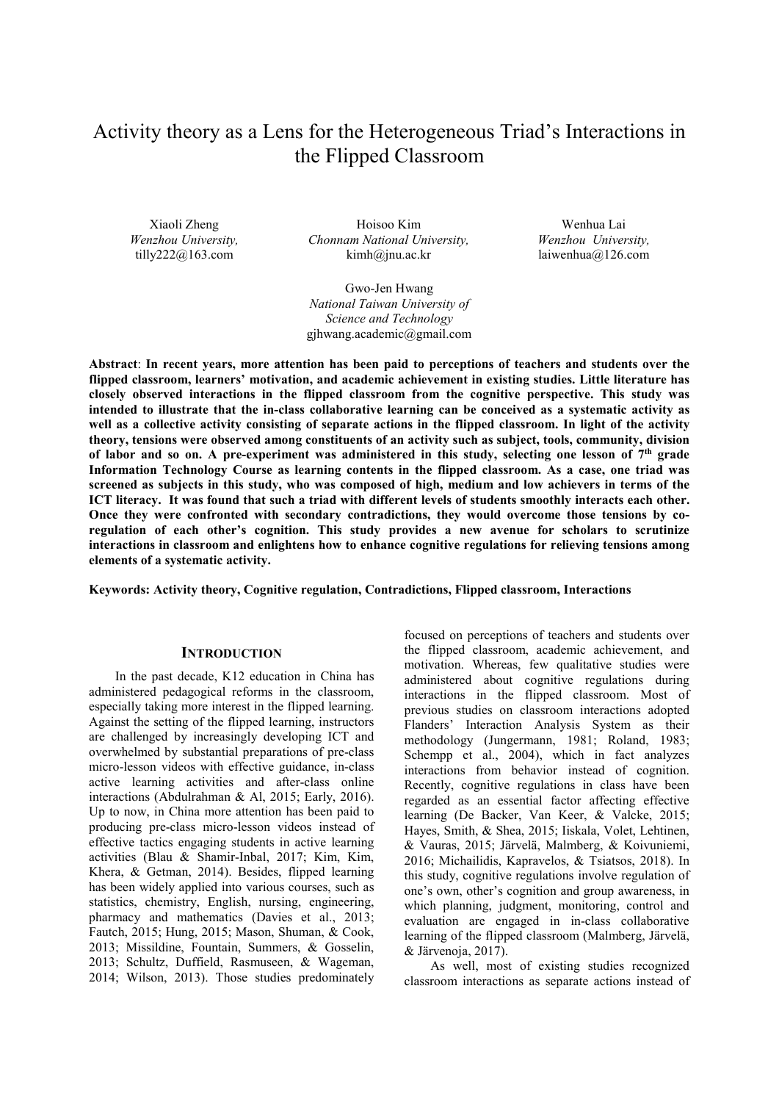# Activity theory as a Lens for the Heterogeneous Triad's Interactions in the Flipped Classroom

Xiaoli Zheng *Wenzhou University,*  tilly222@163.com

Hoisoo Kim *Chonnam National University,*  kimh@jnu.ac.kr

Wenhua Lai *Wenzhou University,*  laiwenhua@126.com

Gwo-Jen Hwang *National Taiwan University of Science and Technology* gjhwang.academic@gmail.com

**Abstract**: **In recent years, more attention has been paid to perceptions of teachers and students over the flipped classroom, learners' motivation, and academic achievement in existing studies. Little literature has closely observed interactions in the flipped classroom from the cognitive perspective. This study was intended to illustrate that the in-class collaborative learning can be conceived as a systematic activity as well as a collective activity consisting of separate actions in the flipped classroom. In light of the activity theory, tensions were observed among constituents of an activity such as subject, tools, community, division of labor and so on. A pre-experiment was administered in this study, selecting one lesson of 7th grade Information Technology Course as learning contents in the flipped classroom. As a case, one triad was screened as subjects in this study, who was composed of high, medium and low achievers in terms of the ICT literacy. It was found that such a triad with different levels of students smoothly interacts each other. Once they were confronted with secondary contradictions, they would overcome those tensions by coregulation of each other's cognition. This study provides a new avenue for scholars to scrutinize interactions in classroom and enlightens how to enhance cognitive regulations for relieving tensions among elements of a systematic activity.**

**Keywords: Activity theory, Cognitive regulation, Contradictions, Flipped classroom, Interactions** 

### **INTRODUCTION**

In the past decade, K12 education in China has administered pedagogical reforms in the classroom, especially taking more interest in the flipped learning. Against the setting of the flipped learning, instructors are challenged by increasingly developing ICT and overwhelmed by substantial preparations of pre-class micro-lesson videos with effective guidance, in-class active learning activities and after-class online interactions (Abdulrahman & Al, 2015; Early, 2016). Up to now, in China more attention has been paid to producing pre-class micro-lesson videos instead of effective tactics engaging students in active learning activities (Blau & Shamir-Inbal, 2017; Kim, Kim, Khera, & Getman, 2014). Besides, flipped learning has been widely applied into various courses, such as statistics, chemistry, English, nursing, engineering, pharmacy and mathematics (Davies et al., 2013; Fautch, 2015; Hung, 2015; Mason, Shuman, & Cook, 2013; Missildine, Fountain, Summers, & Gosselin, 2013; Schultz, Duffield, Rasmuseen, & Wageman, 2014; Wilson, 2013). Those studies predominately

focused on perceptions of teachers and students over the flipped classroom, academic achievement, and motivation. Whereas, few qualitative studies were administered about cognitive regulations during interactions in the flipped classroom. Most of previous studies on classroom interactions adopted Flanders' Interaction Analysis System as their methodology (Jungermann, 1981; Roland, 1983; Schempp et al., 2004), which in fact analyzes interactions from behavior instead of cognition. Recently, cognitive regulations in class have been regarded as an essential factor affecting effective learning (De Backer, Van Keer, & Valcke, 2015; Hayes, Smith, & Shea, 2015; Iiskala, Volet, Lehtinen, & Vauras, 2015; Järvelä, Malmberg, & Koivuniemi, 2016; Michailidis, Kapravelos, & Tsiatsos, 2018). In this study, cognitive regulations involve regulation of one's own, other's cognition and group awareness, in which planning, judgment, monitoring, control and evaluation are engaged in in-class collaborative learning of the flipped classroom (Malmberg, Järvelä, & Järvenoja, 2017).

As well, most of existing studies recognized classroom interactions as separate actions instead of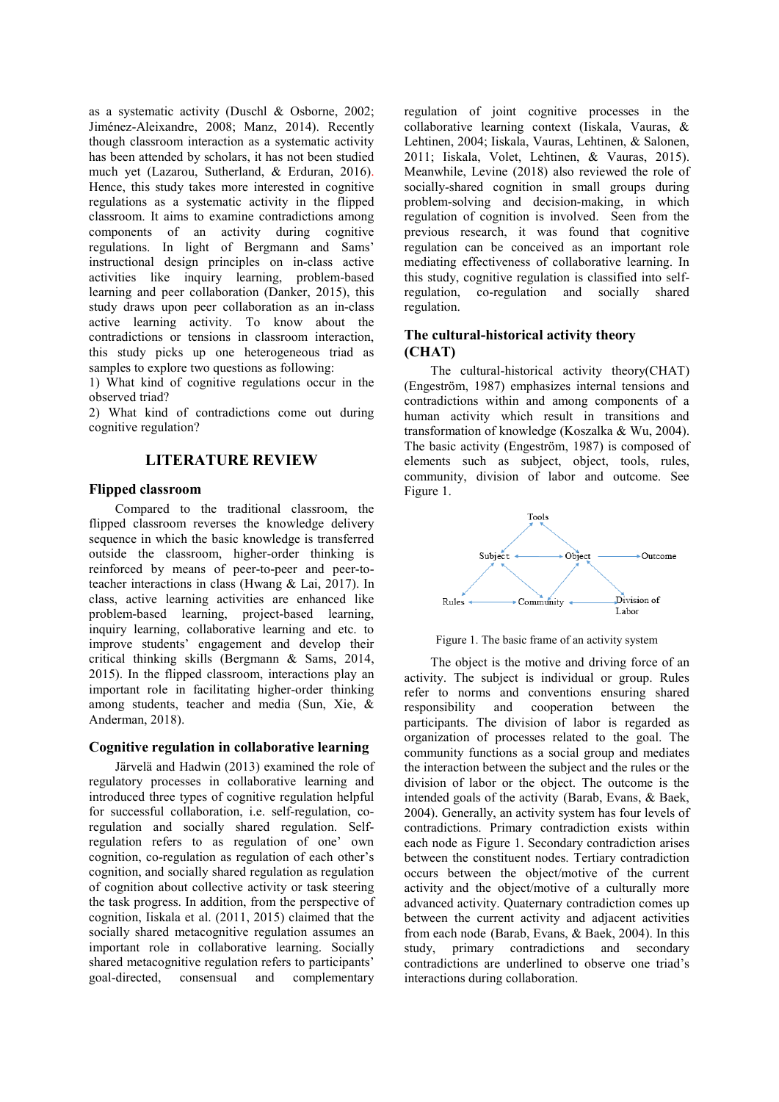as a systematic activity (Duschl & Osborne, 2002; Jiménez-Aleixandre, 2008; Manz, 2014). Recently though classroom interaction as a systematic activity has been attended by scholars, it has not been studied much yet (Lazarou, Sutherland, & Erduran, 2016). Hence, this study takes more interested in cognitive regulations as a systematic activity in the flipped classroom. It aims to examine contradictions among components of an activity during cognitive regulations. In light of Bergmann and Sams' instructional design principles on in-class active activities like inquiry learning, problem-based learning and peer collaboration (Danker, 2015), this study draws upon peer collaboration as an in-class active learning activity. To know about the contradictions or tensions in classroom interaction, this study picks up one heterogeneous triad as samples to explore two questions as following:

1) What kind of cognitive regulations occur in the observed triad?

2) What kind of contradictions come out during cognitive regulation?

# **LITERATURE REVIEW**

#### **Flipped classroom**

Compared to the traditional classroom, the flipped classroom reverses the knowledge delivery sequence in which the basic knowledge is transferred outside the classroom, higher-order thinking is reinforced by means of peer-to-peer and peer-toteacher interactions in class (Hwang & Lai, 2017). In class, active learning activities are enhanced like problem-based learning, project-based learning, inquiry learning, collaborative learning and etc. to improve students' engagement and develop their critical thinking skills (Bergmann & Sams, 2014, 2015). In the flipped classroom, interactions play an important role in facilitating higher-order thinking among students, teacher and media (Sun, Xie, & Anderman, 2018).

### **Cognitive regulation in collaborative learning**

Järvelä and Hadwin (2013) examined the role of regulatory processes in collaborative learning and introduced three types of cognitive regulation helpful for successful collaboration, i.e. self-regulation, coregulation and socially shared regulation. Selfregulation refers to as regulation of one' own cognition, co-regulation as regulation of each other's cognition, and socially shared regulation as regulation of cognition about collective activity or task steering the task progress. In addition, from the perspective of cognition, Iiskala et al. (2011, 2015) claimed that the socially shared metacognitive regulation assumes an important role in collaborative learning. Socially shared metacognitive regulation refers to participants' goal-directed, consensual and complementary regulation of joint cognitive processes in the collaborative learning context (Iiskala, Vauras, & Lehtinen, 2004; Iiskala, Vauras, Lehtinen, & Salonen, 2011; Iiskala, Volet, Lehtinen, & Vauras, 2015). Meanwhile, Levine (2018) also reviewed the role of socially-shared cognition in small groups during problem-solving and decision-making, in which regulation of cognition is involved. Seen from the previous research, it was found that cognitive regulation can be conceived as an important role mediating effectiveness of collaborative learning. In this study, cognitive regulation is classified into selfregulation, co-regulation and socially shared regulation.

# **The cultural-historical activity theory (CHAT)**

The cultural-historical activity theory(CHAT) (Engestrӧm, 1987) emphasizes internal tensions and contradictions within and among components of a human activity which result in transitions and transformation of knowledge (Koszalka & Wu, 2004). The basic activity (Engeström, 1987) is composed of elements such as subject, object, tools, rules, community, division of labor and outcome. See Figure 1.



Figure 1. The basic frame of an activity system

The object is the motive and driving force of an activity. The subject is individual or group. Rules refer to norms and conventions ensuring shared<br>responsibility and cooperation between the responsibility and cooperation between the participants. The division of labor is regarded as organization of processes related to the goal. The community functions as a social group and mediates the interaction between the subject and the rules or the division of labor or the object. The outcome is the intended goals of the activity (Barab, Evans, & Baek, 2004). Generally, an activity system has four levels of contradictions. Primary contradiction exists within each node as Figure 1. Secondary contradiction arises between the constituent nodes. Tertiary contradiction occurs between the object/motive of the current activity and the object/motive of a culturally more advanced activity. Quaternary contradiction comes up between the current activity and adjacent activities from each node (Barab, Evans, & Baek, 2004). In this study, primary contradictions and secondary contradictions are underlined to observe one triad's interactions during collaboration.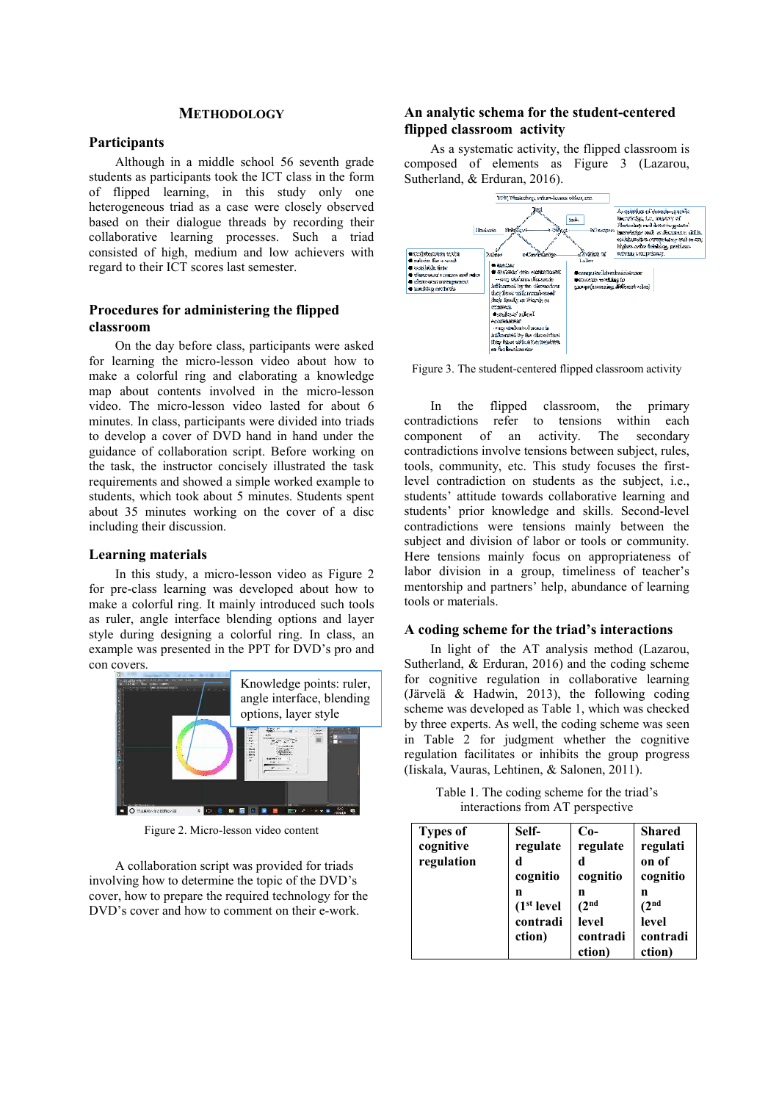# **METHODOLOGY**

### **Participants**

Although in a middle school 56 seventh grade students as participants took the ICT class in the form of flipped learning, in this study only one heterogeneous triad as a case were closely observed based on their dialogue threads by recording their collaborative learning processes. Such a triad consisted of high, medium and low achievers with regard to their ICT scores last semester.

# **Procedures for administering the flipped classroom**

On the day before class, participants were asked for learning the micro-lesson video about how to make a colorful ring and elaborating a knowledge map about contents involved in the micro-lesson video. The micro-lesson video lasted for about 6 minutes. In class, participants were divided into triads to develop a cover of DVD hand in hand under the guidance of collaboration script. Before working on the task, the instructor concisely illustrated the task requirements and showed a simple worked example to students, which took about 5 minutes. Students spent about 35 minutes working on the cover of a disc including their discussion.

## **Learning materials**

In this study, a micro-lesson video as Figure 2 for pre-class learning was developed about how to make a colorful ring. It mainly introduced such tools as ruler, angle interface blending options and layer style during designing a colorful ring. In class, an example was presented in the PPT for DVD's pro and con covers.



Figure 2. Micro-lesson video content

A collaboration script was provided for triads involving how to determine the topic of the DVD's cover, how to prepare the required technology for the DVD's cover and how to comment on their e-work.

# **An analytic schema for the student-centered flipped classroom activity**

As a systematic activity, the flipped classroom is composed of elements as Figure 3 (Lazarou, Sutherland, & Erduran, 2016).



Figure 3. The student-centered flipped classroom activity

In the flipped classroom, the primary<br>radictions refer to tensions within each  $contradictions$  refer to tensions component of an activity. The secondary contradictions involve tensions between subject, rules, tools, community, etc. This study focuses the firstlevel contradiction on students as the subject, i.e., students' attitude towards collaborative learning and students' prior knowledge and skills. Second-level contradictions were tensions mainly between the subject and division of labor or tools or community. Here tensions mainly focus on appropriateness of labor division in a group, timeliness of teacher's mentorship and partners' help, abundance of learning tools or materials.

## **A coding scheme for the triad's interactions**

In light of the AT analysis method (Lazarou, Sutherland, & Erduran, 2016) and the coding scheme for cognitive regulation in collaborative learning (Järvelä & Hadwin, 2013), the following coding scheme was developed as Table 1, which was checked by three experts. As well, the coding scheme was seen in Table 2 for judgment whether the cognitive regulation facilitates or inhibits the group progress (Iiskala, Vauras, Lehtinen, & Salonen, 2011).

Table 1. The coding scheme for the triad's interactions from AT perspective

| <b>Types of</b><br>cognitive<br>regulation | Self-<br>regulate<br>d<br>cognitio                 | $Co-$<br>regulate<br>d<br>cognitio                     | <b>Shared</b><br>regulati<br>on of<br>cognitio         |
|--------------------------------------------|----------------------------------------------------|--------------------------------------------------------|--------------------------------------------------------|
|                                            | n<br>(1 <sup>st</sup> level)<br>contradi<br>ction) | n<br>(2 <sup>nd</sup> )<br>level<br>contradi<br>ction) | n<br>(2 <sup>nd</sup> )<br>level<br>contradi<br>ction) |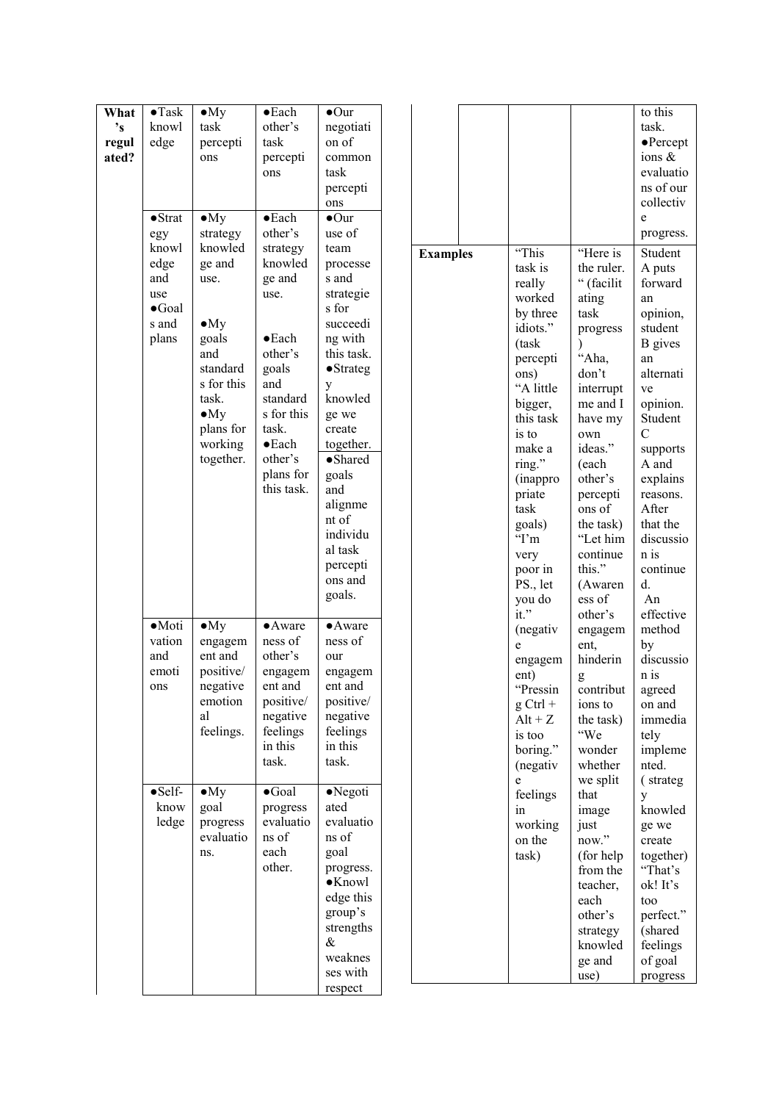| What<br>$\mathbf{S}^{\dagger}$<br>regul<br>ated? | $\bullet$ Task<br>knowl<br>edge<br>$\bullet$ Strat<br>egy<br>knowl<br>edge<br>and<br>use<br>$\bullet$ Goal<br>s and<br>plans | $\bullet$ My<br>task<br>percepti<br>ons<br>$\bullet$ My<br>strategy<br>knowled<br>ge and<br>use.<br>$\bullet$ My<br>goals<br>and<br>standard<br>s for this<br>task.<br>$\bullet$ My | $\bullet$ Each<br>other's<br>task<br>percepti<br>ons<br>$\bullet$ Each<br>other's<br>strategy<br>knowled<br>ge and<br>use.<br>$\bullet$ Each<br>other's<br>goals<br>and<br>standard<br>s for this | $\bullet$ Our<br>negotiati<br>on of<br>common<br>task<br>percepti<br>ons<br>$\bullet$ Our<br>use of<br>team<br>processe<br>s and<br>strategie<br>s for<br>succeedi<br>ng with<br>this task.<br>$\bullet$ Strateg<br>y<br>knowled<br>ge we | <b>Examples</b> | "This<br>task is<br>really<br>worked<br>by three<br>idiots."<br>(task<br>percepti<br>ons)<br>"A little<br>bigger,<br>this task | "Here is<br>the ruler.<br>" (facilit<br>ating<br>task<br>progress<br>$\lambda$<br>"Aha,<br>don't<br>interrupt<br>me and I<br>have my                                                                                                                                                                                                                                                                                                                                                                                                                 | to this<br>task.<br>$\bullet$ Percept<br>ions $\&$<br>evaluatio<br>ns of our<br>collectiv<br>e<br>progress.<br>Student<br>A puts<br>forward<br>an<br>opinion,<br>student<br><b>B</b> gives<br>an<br>alternati<br>ve<br>opinion.<br>Student |
|--------------------------------------------------|------------------------------------------------------------------------------------------------------------------------------|-------------------------------------------------------------------------------------------------------------------------------------------------------------------------------------|---------------------------------------------------------------------------------------------------------------------------------------------------------------------------------------------------|-------------------------------------------------------------------------------------------------------------------------------------------------------------------------------------------------------------------------------------------|-----------------|--------------------------------------------------------------------------------------------------------------------------------|------------------------------------------------------------------------------------------------------------------------------------------------------------------------------------------------------------------------------------------------------------------------------------------------------------------------------------------------------------------------------------------------------------------------------------------------------------------------------------------------------------------------------------------------------|--------------------------------------------------------------------------------------------------------------------------------------------------------------------------------------------------------------------------------------------|
|                                                  |                                                                                                                              | plans for<br>working<br>together.                                                                                                                                                   | task.<br>$\bullet$ Each<br>other's<br>plans for<br>this task.                                                                                                                                     | create<br>together.<br>$\bullet$ Shared<br>goals<br>and<br>alignme<br>nt of<br>individu<br>al task<br>percepti<br>ons and<br>goals.                                                                                                       |                 | is to<br>make a<br>ring."<br>(inappro<br>priate<br>task<br>goals)<br>Tm<br>very<br>poor in<br>PS., let<br>you do<br>$it.$ "    | own<br>ideas."<br>(each<br>other's<br>percepti<br>ons of<br>the task)<br>"Let him<br>continue<br>this."<br>(Awaren<br>ess of<br>other's                                                                                                                                                                                                                                                                                                                                                                                                              | $\mathbf C$<br>supports<br>A and<br>explains<br>reasons.<br>After<br>that the<br>discussio<br>n is<br>continue<br>d.<br>An<br>effective                                                                                                    |
|                                                  | $\bullet$ Moti<br>vation<br>and<br>emoti<br>ons                                                                              | $\bullet$ My<br>engagem<br>ent and<br>positive/<br>negative<br>emotion<br>al<br>feelings.                                                                                           | $\bullet$ Aware<br>ness of<br>other's<br>engagem<br>ent and<br>positive/<br>negative<br>feelings<br>in this<br>task.                                                                              | $\bullet$ Aware<br>ness of<br>our<br>engagem<br>ent and<br>positive/<br>negative<br>feelings<br>in this<br>task.                                                                                                                          |                 | (negativ<br>e<br>engagem<br>ent)<br>"Pressin<br>$g$ Ctrl +<br>$Alt + Z$<br>is too<br>boring."<br>(negativ<br>e                 | engagem<br>ent,<br>hinderin<br>$\mathbf{g}% _{T}=\mathbf{g}_{T}=\mathbf{g}_{T}=\mathbf{g}_{T}=\mathbf{g}_{T}=\mathbf{g}_{T}=\mathbf{g}_{T}=\mathbf{g}_{T}=\mathbf{g}_{T}=\mathbf{g}_{T}=\mathbf{g}_{T}=\mathbf{g}_{T}=\mathbf{g}_{T}=\mathbf{g}_{T}=\mathbf{g}_{T}=\mathbf{g}_{T}=\mathbf{g}_{T}=\mathbf{g}_{T}=\mathbf{g}_{T}=\mathbf{g}_{T}=\mathbf{g}_{T}=\mathbf{g}_{T}=\mathbf{g}_{T}=\mathbf{g}_{T}=\mathbf{g}_{T}=\mathbf{g}_{T}=\mathbf{g}_{T}=\math$<br>$\text{contribute}$<br>ions to<br>the task)<br>"We<br>wonder<br>whether<br>we split | method<br>by<br>discussio<br>n is<br>agreed<br>on and<br>immedia<br>tely<br>impleme<br>nted.<br>(strateg                                                                                                                                   |
|                                                  | $\bullet$ Self-<br>know<br>ledge                                                                                             | $\bullet$ My<br>goal<br>progress<br>evaluatio<br>ns.                                                                                                                                | $\bullet$ Goal<br>progress<br>evaluatio<br>ns of<br>each<br>other.                                                                                                                                | $\bullet$ Negoti<br>ated<br>evaluatio<br>ns of<br>goal<br>progress.<br>$\bullet$ Knowl<br>edge this<br>group's<br>strengths<br>$\&$<br>weaknes<br>ses with<br>respect                                                                     |                 | feelings<br>in<br>working<br>on the<br>task)                                                                                   | that<br>image<br>just<br>now."<br>(for help)<br>from the<br>teacher,<br>each<br>other's<br>strategy<br>knowled<br>ge and<br>use)                                                                                                                                                                                                                                                                                                                                                                                                                     | y<br>knowled<br>ge we<br>create<br>together)<br>"That's<br>ok! It's<br>too<br>perfect."<br>(shared<br>feelings<br>of goal<br>progress                                                                                                      |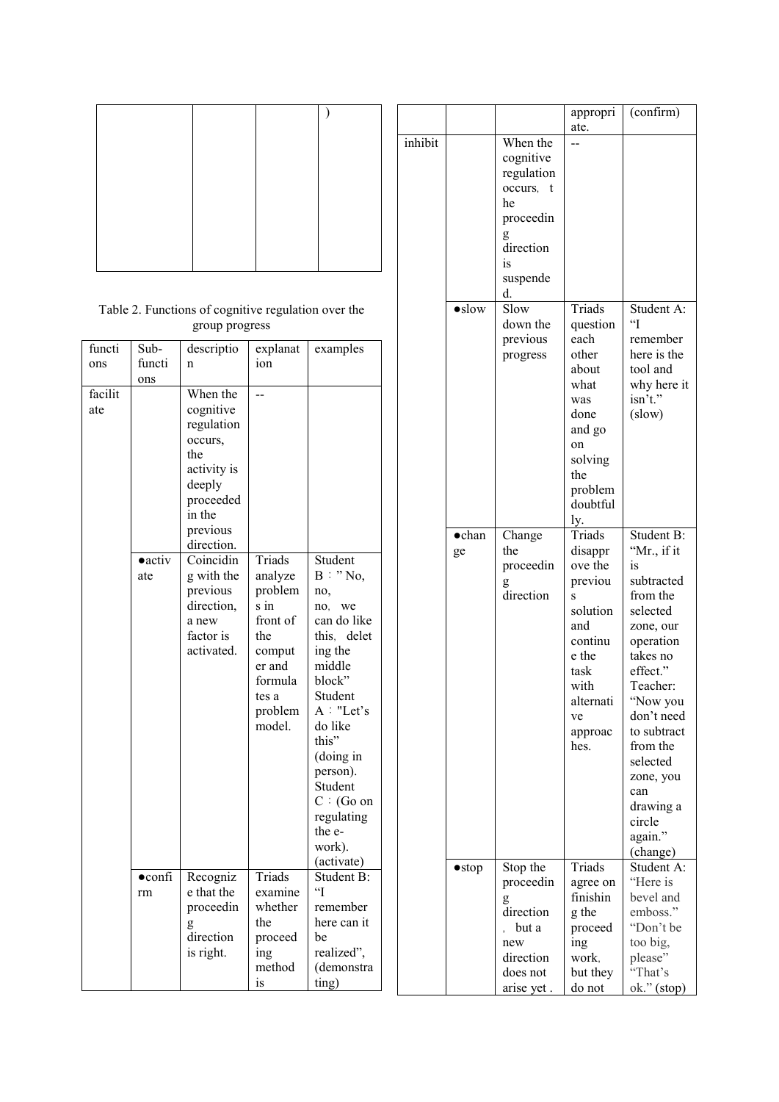| Table 2. Functions of cognitive regulation over the |  |
|-----------------------------------------------------|--|
| group progress                                      |  |

| functi  | Sub-            | descriptio  | explanat | examples               |
|---------|-----------------|-------------|----------|------------------------|
| ons     | functi          | n           | ion      |                        |
|         | ons             |             |          |                        |
| facilit |                 | When the    |          |                        |
|         |                 |             |          |                        |
| ate     |                 | cognitive   |          |                        |
|         |                 | regulation  |          |                        |
|         |                 | occurs,     |          |                        |
|         |                 | the         |          |                        |
|         |                 | activity is |          |                        |
|         |                 | deeply      |          |                        |
|         |                 | proceeded   |          |                        |
|         |                 | in the      |          |                        |
|         |                 | previous    |          |                        |
|         |                 | direction.  |          |                        |
|         | $\bullet$ activ | Coincidin   | Triads   | Student                |
|         | ate             | g with the  | analyze  | B : "No,               |
|         |                 | previous    | problem  | no,                    |
|         |                 | direction,  | s in     | no. we                 |
|         |                 | a new       | front of | can do like            |
|         |                 | factor is   | the      | this, delet            |
|         |                 | activated.  | comput   | ing the                |
|         |                 |             | er and   | middle                 |
|         |                 |             | formula  | block"                 |
|         |                 |             | tes a    | Student                |
|         |                 |             | problem  | A : "Let's             |
|         |                 |             | model.   | do like                |
|         |                 |             |          | this"                  |
|         |                 |             |          | (doing in              |
|         |                 |             |          | person).               |
|         |                 |             |          | Student                |
|         |                 |             |          | $C : (Go \t{on}$       |
|         |                 |             |          | regulating             |
|         |                 |             |          | the e-                 |
|         |                 |             |          | work).                 |
|         |                 |             |          | (activate)             |
|         | $\bullet$ confi | Recogniz    | Triads   | Student B:             |
|         | rm              | e that the  | examine  | $\mathbf{H}^{\bullet}$ |
|         |                 | proceedin   | whether  | remember               |
|         |                 |             | the      | here can it            |
|         |                 | direction   | proceed  | be                     |
|         |                 | is right.   | ing      | realized",             |
|         |                 |             | method   | (demonstra             |
|         |                 |             | is       | ting)                  |
|         |                 |             |          |                        |

|         |                |                | appropri<br>ate. | (confirm)                      |
|---------|----------------|----------------|------------------|--------------------------------|
| inhibit |                | When the       |                  |                                |
|         |                | cognitive      |                  |                                |
|         |                | regulation     |                  |                                |
|         |                | occurs,<br>t   |                  |                                |
|         |                | he             |                  |                                |
|         |                | proceedin      |                  |                                |
|         |                | g              |                  |                                |
|         |                | direction      |                  |                                |
|         |                | is             |                  |                                |
|         |                | suspende<br>d. |                  |                                |
|         | $\bullet$ slow | Slow           | Triads           | Student A:                     |
|         |                | down the       | question         | $\mathfrak{c}$                 |
|         |                | previous       | each             | remember                       |
|         |                | progress       | other            | here is the                    |
|         |                |                | about            | tool and                       |
|         |                |                | what             | why here it                    |
|         |                |                | was              | isn't."                        |
|         |                |                | done             | (slow)                         |
|         |                |                | and go           |                                |
|         |                |                | on               |                                |
|         |                |                | solving<br>the   |                                |
|         |                |                | problem          |                                |
|         |                |                | doubtful         |                                |
|         |                |                | ly.              |                                |
|         | $\bullet$ chan | Change         | Triads           | Student B:                     |
|         | ge             | the            | disappr          | "Mr., if it                    |
|         |                | proceedin      | ove the          | is                             |
|         |                | g              | previou          | subtracted                     |
|         |                | direction      | S                | from the                       |
|         |                |                | solution         | selected                       |
|         |                |                | and<br>continu   | zone, our<br>operation         |
|         |                |                | e the            | takes no                       |
|         |                |                | task             | effect."                       |
|         |                |                | with             | Teacher:                       |
|         |                |                | alternati        | "Now you                       |
|         |                |                | ve               | don't need                     |
|         |                |                | approac          | to subtract                    |
|         |                |                | hes.             | from the                       |
|         |                |                |                  | selected                       |
|         |                |                |                  | zone, you                      |
|         |                |                |                  | can<br>drawing a               |
|         |                |                |                  | circle                         |
|         |                |                |                  | again."                        |
|         |                |                |                  | (change)                       |
|         | $\bullet$ stop | Stop the       | Triads           | $\overline{\text{Student}}$ A: |
|         |                | proceedin      | agree on         | "Here is                       |
|         |                | g              | finishin         | bevel and                      |
|         |                | direction      | g the            | emboss."                       |
|         |                | but a          | proceed          | "Don't be                      |
|         |                | new            | ing              | too big,                       |
|         |                | direction      | work,            | please"                        |
|         |                | does not       | but they         | "That's                        |
|         |                | arise yet.     | do not           | ok." (stop)                    |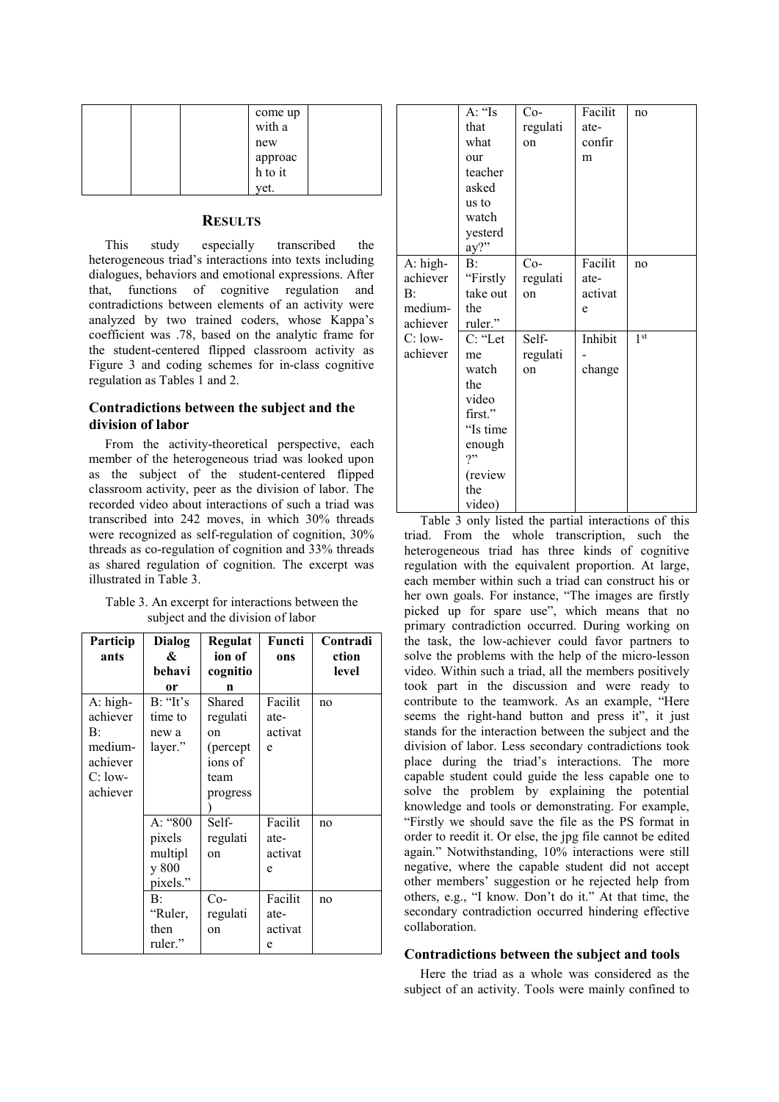|  | come up<br>with a  |  |
|--|--------------------|--|
|  | new                |  |
|  |                    |  |
|  | approac<br>h to it |  |
|  | vet.               |  |

# **RESULTS**

This study especially transcribed the heterogeneous triad's interactions into texts including dialogues, behaviors and emotional expressions. After that, functions of cognitive regulation and contradictions between elements of an activity were analyzed by two trained coders, whose Kappa's coefficient was .78, based on the analytic frame for the student-centered flipped classroom activity as Figure 3 and coding schemes for in-class cognitive regulation as Tables 1 and 2.

# **Contradictions between the subject and the division of labor**

From the activity-theoretical perspective, each member of the heterogeneous triad was looked upon as the subject of the student-centered flipped classroom activity, peer as the division of labor. The recorded video about interactions of such a triad was transcribed into 242 moves, in which 30% threads were recognized as self-regulation of cognition, 30% threads as co-regulation of cognition and 33% threads as shared regulation of cognition. The excerpt was illustrated in Table 3.

Table 3. An excerpt for interactions between the subject and the division of labor

| Particip<br>ants | Dialog<br>& | Regulat<br>ion of | Functi<br>ons | Contradi<br>ction |
|------------------|-------------|-------------------|---------------|-------------------|
|                  | behavi      | cognitio          |               | level             |
|                  | or          | n                 |               |                   |
| $A: high-$       | B: "It's    | Shared            | Facilit       | no                |
| achiever         | time to     | regulati          | ate-          |                   |
| B:               | new a       | on                | activat       |                   |
| medium-          | layer."     | (percept)         | e             |                   |
| achiever         |             | ions of           |               |                   |
| $C:$ low-        |             | team              |               |                   |
| achiever         |             | progress          |               |                   |
|                  |             |                   |               |                   |
|                  | A: "800     | Self-             | Facilit       | no                |
|                  | pixels      | regulati          | ate-          |                   |
|                  | multipl     | on                | activat       |                   |
|                  | y 800       |                   | e             |                   |
|                  | pixels."    |                   |               |                   |
|                  | B:          | $Co-$             | Facilit       | no                |
|                  | "Ruler,     | regulati          | ate-          |                   |
|                  | then        | on                | activat       |                   |
|                  | ruler."     |                   | e             |                   |

|                                                   | A: "Is<br>that<br>what<br>our<br>teacher<br>asked<br>us to<br>watch<br>yesterd<br>$ay?$ "                 | $Co-$<br>regulati<br>on | Facilit<br>ate-<br>confir<br>m  | no              |
|---------------------------------------------------|-----------------------------------------------------------------------------------------------------------|-------------------------|---------------------------------|-----------------|
| A: high-<br>achiever<br>B:<br>medium-<br>achiever | B:<br>"Firstly<br>take out<br>the<br>ruler."                                                              | $Co-$<br>regulati<br>on | Facilit<br>ate-<br>activat<br>e | no              |
| $C:$ low-<br>achiever                             | C: "Let<br>me<br>watch<br>the<br>video<br>first."<br>"Is time<br>enough<br>7"<br>(review<br>the<br>video) | Self-<br>regulati<br>on | Inhibit<br>change               | 1 <sup>st</sup> |

Table 3 only listed the partial interactions of this triad. From the whole transcription, such the heterogeneous triad has three kinds of cognitive regulation with the equivalent proportion. At large, each member within such a triad can construct his or her own goals. For instance, "The images are firstly picked up for spare use", which means that no primary contradiction occurred. During working on the task, the low-achiever could favor partners to solve the problems with the help of the micro-lesson video. Within such a triad, all the members positively took part in the discussion and were ready to contribute to the teamwork. As an example, "Here seems the right-hand button and press it", it just stands for the interaction between the subject and the division of labor. Less secondary contradictions took place during the triad's interactions. The more capable student could guide the less capable one to solve the problem by explaining the potential knowledge and tools or demonstrating. For example, "Firstly we should save the file as the PS format in order to reedit it. Or else, the jpg file cannot be edited again." Notwithstanding, 10% interactions were still negative, where the capable student did not accept other members' suggestion or he rejected help from others, e.g., "I know. Don't do it." At that time, the secondary contradiction occurred hindering effective collaboration.

## **Contradictions between the subject and tools**

Here the triad as a whole was considered as the subject of an activity. Tools were mainly confined to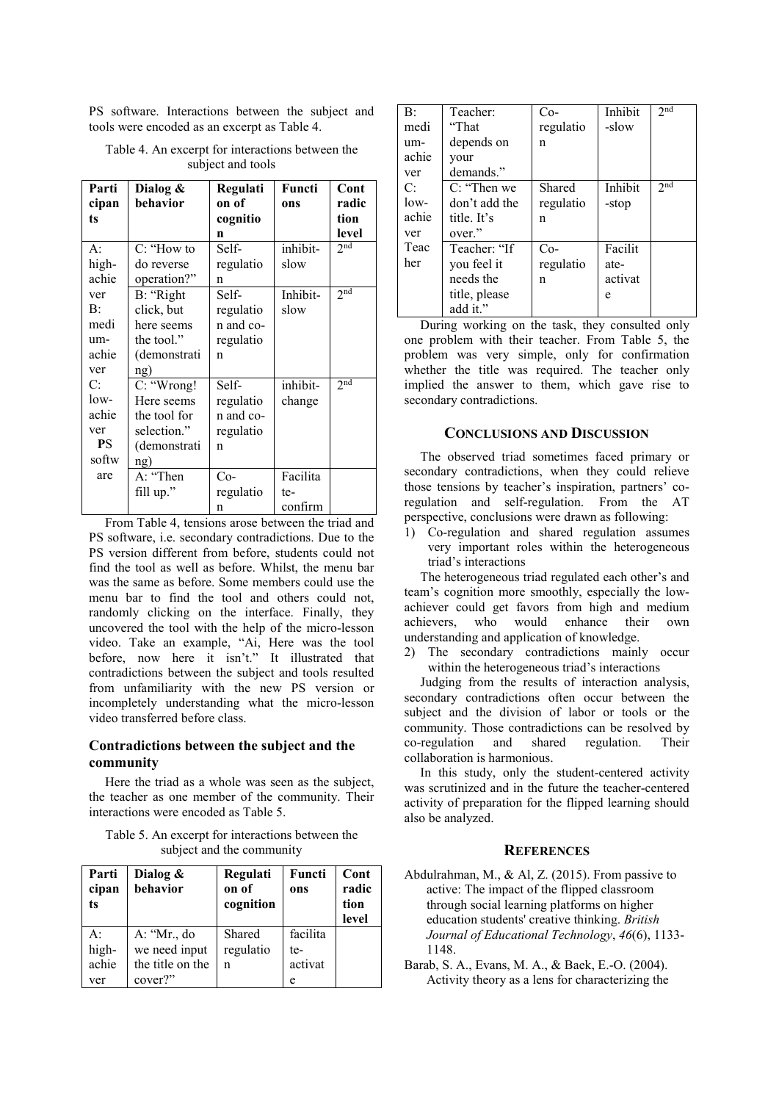PS software. Interactions between the subject and tools were encoded as an excerpt as Table 4.

Table 4. An excerpt for interactions between the subject and tools

| Parti<br>cipan | Dialog &<br>behavior | Regulati<br>on of | Functi<br>ons | Cont<br>radic   |
|----------------|----------------------|-------------------|---------------|-----------------|
| ts             |                      | cognitio          |               | tion            |
|                |                      | n                 |               | level           |
| $A$ :          | $C:$ "How to         | Self-             | inhibit-      | 2 <sup>nd</sup> |
| high-          | do reverse           | regulatio         | slow          |                 |
| achie          | operation?"          | n                 |               |                 |
| ver            | B: "Right            | Self-             | Inhibit-      | 2 <sub>nd</sub> |
| B:             | click, but           | regulatio         | slow          |                 |
| medi           | here seems           | n and co-         |               |                 |
| um-            | the tool."           | regulatio         |               |                 |
| achie          | (demonstrati         | n                 |               |                 |
| ver            | ng)                  |                   |               |                 |
| C:             | C: "Wrong!           | Self-             | inhibit-      | 2 <sub>nd</sub> |
| $low-$         | Here seems           | regulatio         | change        |                 |
| achie          | the tool for         | n and co-         |               |                 |
| ver            | selection."          | regulatio         |               |                 |
| <b>PS</b>      | (demonstrati         | n                 |               |                 |
| softw          | ng)                  |                   |               |                 |
| are            | A: "Then             | $Co-$             | Facilita      |                 |
|                | fill up."            | regulatio         | te-           |                 |
|                |                      | n                 | confirm       |                 |

From Table 4, tensions arose between the triad and PS software, i.e. secondary contradictions. Due to the PS version different from before, students could not find the tool as well as before. Whilst, the menu bar was the same as before. Some members could use the menu bar to find the tool and others could not, randomly clicking on the interface. Finally, they uncovered the tool with the help of the micro-lesson video. Take an example, "Ai, Here was the tool before, now here it isn't." It illustrated that contradictions between the subject and tools resulted from unfamiliarity with the new PS version or incompletely understanding what the micro-lesson video transferred before class.

# **Contradictions between the subject and the community**

Here the triad as a whole was seen as the subject, the teacher as one member of the community. Their interactions were encoded as Table 5.

Table 5. An excerpt for interactions between the subject and the community

| Parti<br>cipan<br>ts        | Dialog $\&$<br>behavior                                     | Regulati<br>on of<br>cognition | Functi<br>ons                   | Cont<br>radic<br>tion<br>level |
|-----------------------------|-------------------------------------------------------------|--------------------------------|---------------------------------|--------------------------------|
| A:<br>high-<br>achie<br>ver | A: "Mr., do<br>we need input<br>the title on the<br>cover?" | Shared<br>regulatio<br>n       | facilita<br>te-<br>activat<br>e |                                |

| B:     | Teacher:      | $Co-$     | Inhibit | 2 <sub>nd</sub> |
|--------|---------------|-----------|---------|-----------------|
| medi   | "That         | regulatio | -slow   |                 |
| um-    | depends on    | n         |         |                 |
| achie  | your          |           |         |                 |
| ver    | demands."     |           |         |                 |
| C:     | C: "Then we   | Shared    | Inhibit | 2 <sub>nd</sub> |
| $low-$ | don't add the | regulatio | -stop   |                 |
| achie  | title. It's   | n         |         |                 |
| ver    | over."        |           |         |                 |
| Teac   | Teacher: "If  | $Co-$     | Facilit |                 |
| her    | you feel it   | regulatio | ate-    |                 |
|        | needs the     | n         | activat |                 |
|        | title, please |           | e       |                 |
|        | add it."      |           |         |                 |

During working on the task, they consulted only one problem with their teacher. From Table 5, the problem was very simple, only for confirmation whether the title was required. The teacher only implied the answer to them, which gave rise to secondary contradictions.

## **CONCLUSIONS AND DISCUSSION**

The observed triad sometimes faced primary or secondary contradictions, when they could relieve those tensions by teacher's inspiration, partners' coregulation and self-regulation. From the AT perspective, conclusions were drawn as following:

1) Co-regulation and shared regulation assumes very important roles within the heterogeneous triad's interactions

The heterogeneous triad regulated each other's and team's cognition more smoothly, especially the lowachiever could get favors from high and medium<br>achievers, who would enhance their own achievers, who would enhance their own understanding and application of knowledge.

2) The secondary contradictions mainly occur within the heterogeneous triad's interactions

Judging from the results of interaction analysis, secondary contradictions often occur between the subject and the division of labor or tools or the community. Those contradictions can be resolved by co-regulation and shared regulation. Their and shared regulation. Their collaboration is harmonious.

In this study, only the student-centered activity was scrutinized and in the future the teacher-centered activity of preparation for the flipped learning should also be analyzed.

## **REFERENCES**

- Abdulrahman, M., & Al, Z. (2015). From passive to active: The impact of the flipped classroom through social learning platforms on higher education students' creative thinking. *British Journal of Educational Technology*, *46*(6), 1133- 1148.
- Barab, S. A., Evans, M. A., & Baek, E.-O. (2004). Activity theory as a lens for characterizing the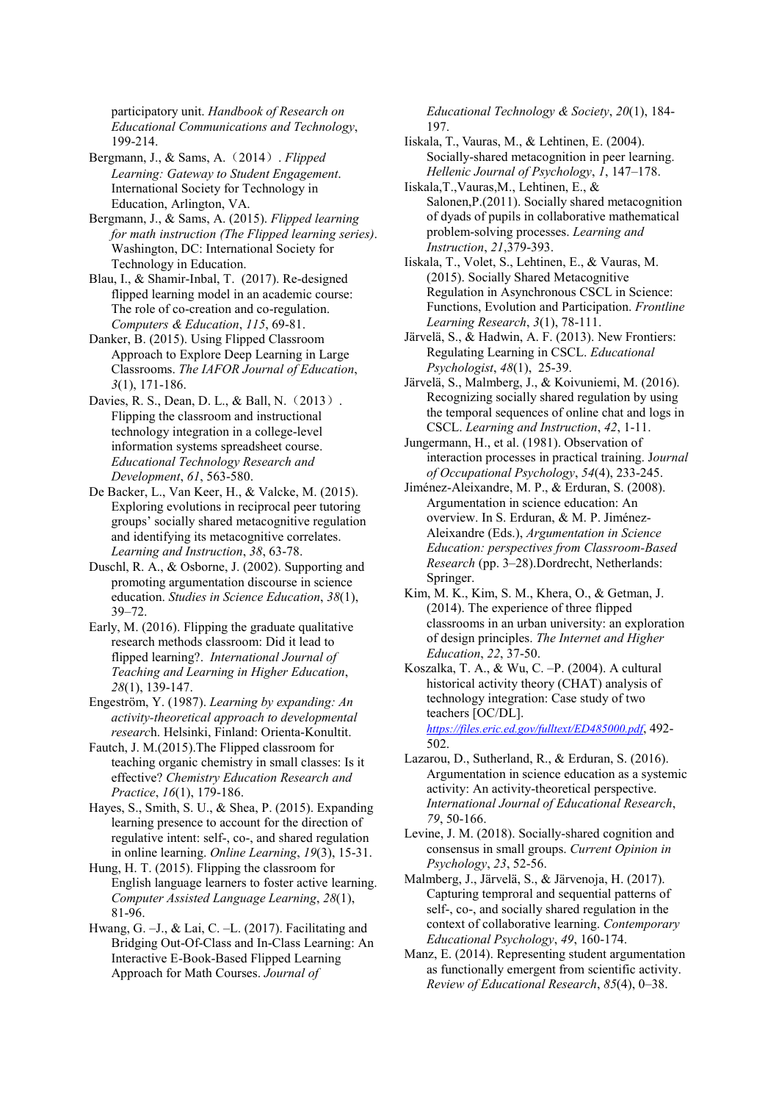participatory unit. *Handbook of Research on Educational Communications and Technology*, 199-214.

Bergmann, J., & Sams, A.(2014). *Flipped Learning: Gateway to Student Engagement*. International Society for Technology in Education, Arlington, VA.

Bergmann, J., & Sams, A. (2015). *Flipped learning for math instruction (The Flipped learning series)*. Washington, DC: International Society for Technology in Education.

Blau, I., & Shamir-Inbal, T. (2017). Re-designed flipped learning model in an academic course: The role of co-creation and co-regulation. *Computers & Education*, *115*, 69-81.

Danker, B. (2015). Using Flipped Classroom Approach to Explore Deep Learning in Large Classrooms. *The IAFOR Journal of Education*, *3*(1), 171-186.

Davies, R. S., Dean, D. L., & Ball, N. (2013). Flipping the classroom and instructional technology integration in a college-level information systems spreadsheet course. *Educational Technology Research and Development*, *61*, 563-580.

De Backer, L., Van Keer, H., & Valcke, M. (2015). Exploring evolutions in reciprocal peer tutoring groups' socially shared metacognitive regulation and identifying its metacognitive correlates. *Learning and Instruction*, *38*, 63-78.

Duschl, R. A., & Osborne, J. (2002). Supporting and promoting argumentation discourse in science education. *Studies in Science Education*, *38*(1), 39–72.

Early, M. (2016). Flipping the graduate qualitative research methods classroom: Did it lead to flipped learning?. *International Journal of Teaching and Learning in Higher Education*, *28*(1), 139-147.

Engestrӧm, Y. (1987). *Learning by expanding: An activity-theoretical approach to developmental researc*h. Helsinki, Finland: Orienta-Konultit.

Fautch, J. M.(2015).The Flipped classroom for teaching organic chemistry in small classes: Is it effective? *Chemistry Education Research and Practice*, *16*(1), 179-186.

Hayes, S., Smith, S. U., & Shea, P. (2015). Expanding learning presence to account for the direction of regulative intent: self-, co-, and shared regulation in online learning. *Online Learning*, *19*(3), 15-31.

Hung, H. T. (2015). Flipping the classroom for English language learners to foster active learning. *Computer Assisted Language Learning*, *28*(1), 81-96.

Hwang, G. –J., & Lai, C. –L. (2017). Facilitating and Bridging Out-Of-Class and In-Class Learning: An Interactive E-Book-Based Flipped Learning Approach for Math Courses. *Journal of* 

*Educational Technology & Society*, *20*(1), 184- 197.

- Iiskala, T., Vauras, M., & Lehtinen, E. (2004). Socially-shared metacognition in peer learning. *Hellenic Journal of Psychology*, *1*, 147–178.
- Iiskala,T.,Vauras,M., Lehtinen, E., & Salonen,P.(2011). Socially shared metacognition of dyads of pupils in collaborative mathematical problem-solving processes. *Learning and Instruction*, *21*,379-393.

Iiskala, T., Volet, S., Lehtinen, E., & Vauras, M. (2015). Socially Shared Metacognitive Regulation in Asynchronous CSCL in Science: Functions, Evolution and Participation. *Frontline Learning Research*, *3*(1), 78-111.

- Järvelä, S., & Hadwin, A. F. (2013). New Frontiers: Regulating Learning in CSCL. *Educational Psychologist*, *48*(1), 25-39.
- Järvelä, S., Malmberg, J., & Koivuniemi, M. (2016). Recognizing socially shared regulation by using the temporal sequences of online chat and logs in CSCL. *Learning and Instruction*, *42*, 1-11.

Jungermann, H., et al. (1981). Observation of interaction processes in practical training. J*ournal of Occupational Psychology*, *54*(4), 233-245.

Jiménez-Aleixandre, M. P., & Erduran, S. (2008). Argumentation in science education: An overview. In S. Erduran, & M. P. Jiménez-Aleixandre (Eds.), *Argumentation in Science Education: perspectives from Classroom-Based Research* (pp. 3–28).Dordrecht, Netherlands: Springer.

Kim, M. K., Kim, S. M., Khera, O., & Getman, J. (2014). The experience of three flipped classrooms in an urban university: an exploration of design principles. *The Internet and Higher Education*, *22*, 37-50.

Koszalka, T. A., & Wu, C. –P. (2004). A cultural historical activity theory (CHAT) analysis of technology integration: Case study of two teachers [OC/DL].

*https://files.eric.ed.gov/fulltext/ED485000.pdf*, 492- 502.

- Lazarou, D., Sutherland, R., & Erduran, S. (2016). Argumentation in science education as a systemic activity: An activity-theoretical perspective. *International Journal of Educational Research*, *79*, 50-166.
- Levine, J. M. (2018). Socially-shared cognition and consensus in small groups. *Current Opinion in Psychology*, *23*, 52-56.
- Malmberg, J., Järvelä, S., & Järvenoja, H. (2017). Capturing temproral and sequential patterns of self-, co-, and socially shared regulation in the context of collaborative learning. *Contemporary Educational Psychology*, *49*, 160-174.
- Manz, E. (2014). Representing student argumentation as functionally emergent from scientific activity. *Review of Educational Research*, *85*(4), 0–38.